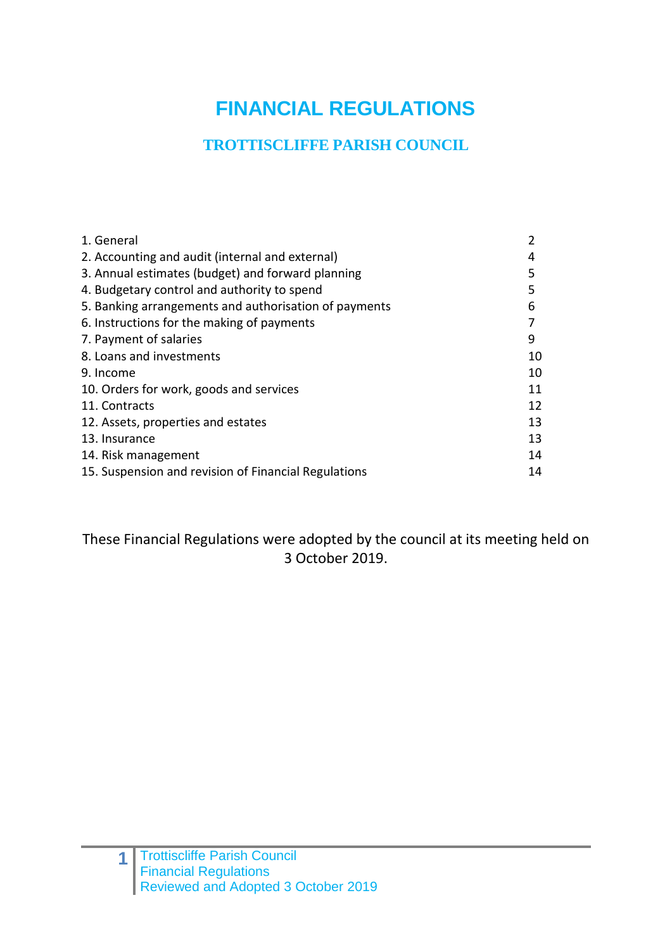# **FINANCIAL REGULATIONS**

# **TROTTISCLIFFE PARISH COUNCIL**

| 1. General                                            | 2  |
|-------------------------------------------------------|----|
| 2. Accounting and audit (internal and external)       | 4  |
| 3. Annual estimates (budget) and forward planning     | 5  |
| 4. Budgetary control and authority to spend           | 5  |
| 5. Banking arrangements and authorisation of payments | 6  |
| 6. Instructions for the making of payments            |    |
| 7. Payment of salaries                                | 9  |
| 8. Loans and investments                              | 10 |
| 9. Income                                             | 10 |
| 10. Orders for work, goods and services               | 11 |
| 11. Contracts                                         | 12 |
| 12. Assets, properties and estates                    | 13 |
| 13. Insurance                                         | 13 |
| 14. Risk management                                   | 14 |
| 15. Suspension and revision of Financial Regulations  | 14 |

These Financial Regulations were adopted by the council at its meeting held on 3 October 2019.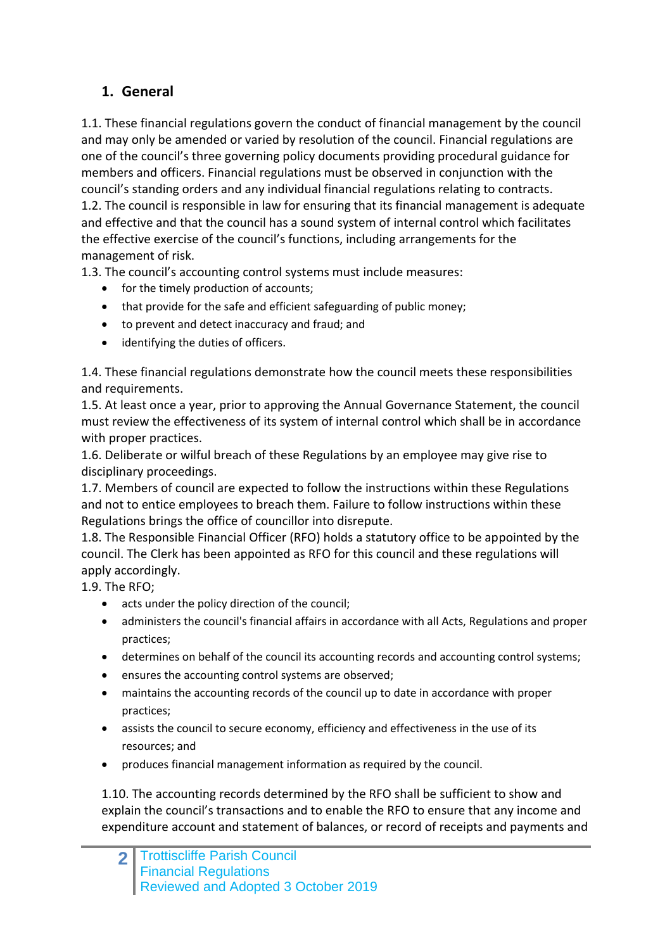#### **1. General**

1.1. These financial regulations govern the conduct of financial management by the council and may only be amended or varied by resolution of the council. Financial regulations are one of the council's three governing policy documents providing procedural guidance for members and officers. Financial regulations must be observed in conjunction with the council's standing orders and any individual financial regulations relating to contracts. 1.2. The council is responsible in law for ensuring that its financial management is adequate and effective and that the council has a sound system of internal control which facilitates the effective exercise of the council's functions, including arrangements for the management of risk.

1.3. The council's accounting control systems must include measures:

- for the timely production of accounts;
- that provide for the safe and efficient safeguarding of public money;
- to prevent and detect inaccuracy and fraud; and
- identifying the duties of officers.

1.4. These financial regulations demonstrate how the council meets these responsibilities and requirements.

1.5. At least once a year, prior to approving the Annual Governance Statement, the council must review the effectiveness of its system of internal control which shall be in accordance with proper practices.

1.6. Deliberate or wilful breach of these Regulations by an employee may give rise to disciplinary proceedings.

1.7. Members of council are expected to follow the instructions within these Regulations and not to entice employees to breach them. Failure to follow instructions within these Regulations brings the office of councillor into disrepute.

1.8. The Responsible Financial Officer (RFO) holds a statutory office to be appointed by the council. The Clerk has been appointed as RFO for this council and these regulations will apply accordingly.

1.9. The RFO;

- acts under the policy direction of the council;
- administers the council's financial affairs in accordance with all Acts, Regulations and proper practices;
- determines on behalf of the council its accounting records and accounting control systems;
- ensures the accounting control systems are observed;
- maintains the accounting records of the council up to date in accordance with proper practices;
- assists the council to secure economy, efficiency and effectiveness in the use of its resources; and
- produces financial management information as required by the council.

1.10. The accounting records determined by the RFO shall be sufficient to show and explain the council's transactions and to enable the RFO to ensure that any income and expenditure account and statement of balances, or record of receipts and payments and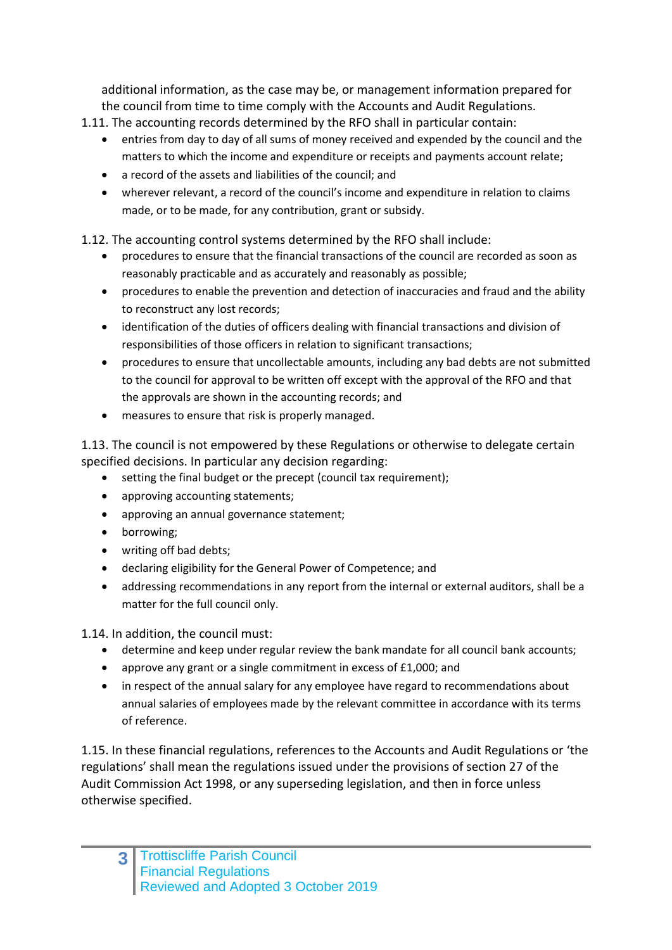additional information, as the case may be, or management information prepared for the council from time to time comply with the Accounts and Audit Regulations.

- 1.11. The accounting records determined by the RFO shall in particular contain:
	- entries from day to day of all sums of money received and expended by the council and the matters to which the income and expenditure or receipts and payments account relate;
	- a record of the assets and liabilities of the council; and
	- wherever relevant, a record of the council's income and expenditure in relation to claims made, or to be made, for any contribution, grant or subsidy.

1.12. The accounting control systems determined by the RFO shall include:

- procedures to ensure that the financial transactions of the council are recorded as soon as reasonably practicable and as accurately and reasonably as possible;
- procedures to enable the prevention and detection of inaccuracies and fraud and the ability to reconstruct any lost records;
- identification of the duties of officers dealing with financial transactions and division of responsibilities of those officers in relation to significant transactions;
- procedures to ensure that uncollectable amounts, including any bad debts are not submitted to the council for approval to be written off except with the approval of the RFO and that the approvals are shown in the accounting records; and
- measures to ensure that risk is properly managed.

1.13. The council is not empowered by these Regulations or otherwise to delegate certain specified decisions. In particular any decision regarding:

- setting the final budget or the precept (council tax requirement);
- approving accounting statements;
- approving an annual governance statement:
- borrowing;
- writing off bad debts:
- declaring eligibility for the General Power of Competence; and
- addressing recommendations in any report from the internal or external auditors, shall be a matter for the full council only.

1.14. In addition, the council must:

- determine and keep under regular review the bank mandate for all council bank accounts;
- approve any grant or a single commitment in excess of £1,000; and
- in respect of the annual salary for any employee have regard to recommendations about annual salaries of employees made by the relevant committee in accordance with its terms of reference.

1.15. In these financial regulations, references to the Accounts and Audit Regulations or 'the regulations' shall mean the regulations issued under the provisions of section 27 of the Audit Commission Act 1998, or any superseding legislation, and then in force unless otherwise specified.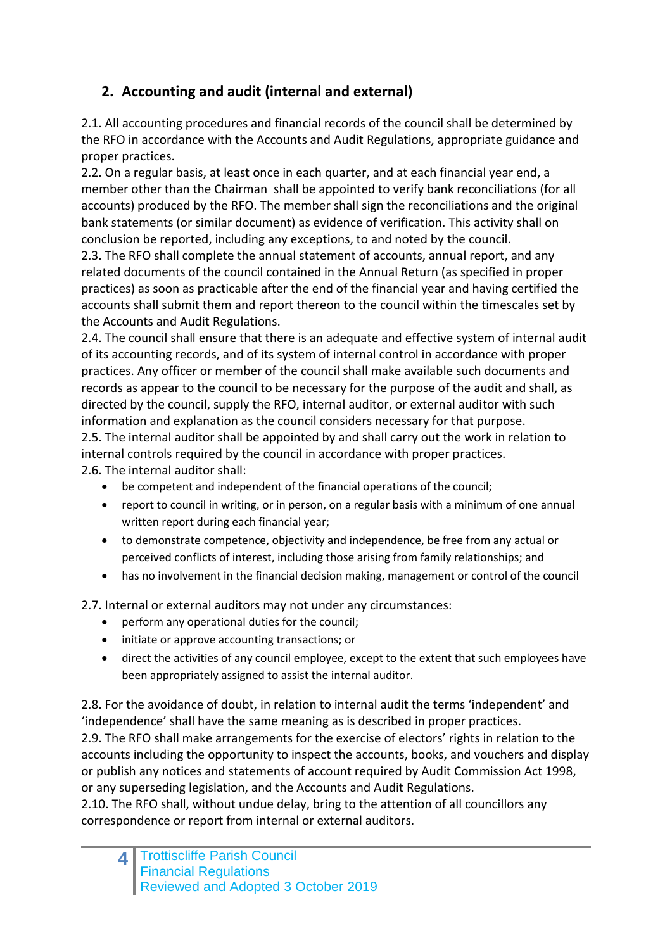## **2. Accounting and audit (internal and external)**

2.1. All accounting procedures and financial records of the council shall be determined by the RFO in accordance with the Accounts and Audit Regulations, appropriate guidance and proper practices.

2.2. On a regular basis, at least once in each quarter, and at each financial year end, a member other than the Chairman shall be appointed to verify bank reconciliations (for all accounts) produced by the RFO. The member shall sign the reconciliations and the original bank statements (or similar document) as evidence of verification. This activity shall on conclusion be reported, including any exceptions, to and noted by the council.

2.3. The RFO shall complete the annual statement of accounts, annual report, and any related documents of the council contained in the Annual Return (as specified in proper practices) as soon as practicable after the end of the financial year and having certified the accounts shall submit them and report thereon to the council within the timescales set by the Accounts and Audit Regulations.

2.4. The council shall ensure that there is an adequate and effective system of internal audit of its accounting records, and of its system of internal control in accordance with proper practices. Any officer or member of the council shall make available such documents and records as appear to the council to be necessary for the purpose of the audit and shall, as directed by the council, supply the RFO, internal auditor, or external auditor with such information and explanation as the council considers necessary for that purpose. 2.5. The internal auditor shall be appointed by and shall carry out the work in relation to internal controls required by the council in accordance with proper practices. 2.6. The internal auditor shall:

- be competent and independent of the financial operations of the council;
- report to council in writing, or in person, on a regular basis with a minimum of one annual written report during each financial year;
- to demonstrate competence, objectivity and independence, be free from any actual or perceived conflicts of interest, including those arising from family relationships; and
- has no involvement in the financial decision making, management or control of the council

2.7. Internal or external auditors may not under any circumstances:

- perform any operational duties for the council;
- initiate or approve accounting transactions; or
- direct the activities of any council employee, except to the extent that such employees have been appropriately assigned to assist the internal auditor.

2.8. For the avoidance of doubt, in relation to internal audit the terms 'independent' and 'independence' shall have the same meaning as is described in proper practices.

2.9. The RFO shall make arrangements for the exercise of electors' rights in relation to the accounts including the opportunity to inspect the accounts, books, and vouchers and display or publish any notices and statements of account required by Audit Commission Act 1998, or any superseding legislation, and the Accounts and Audit Regulations.

2.10. The RFO shall, without undue delay, bring to the attention of all councillors any correspondence or report from internal or external auditors.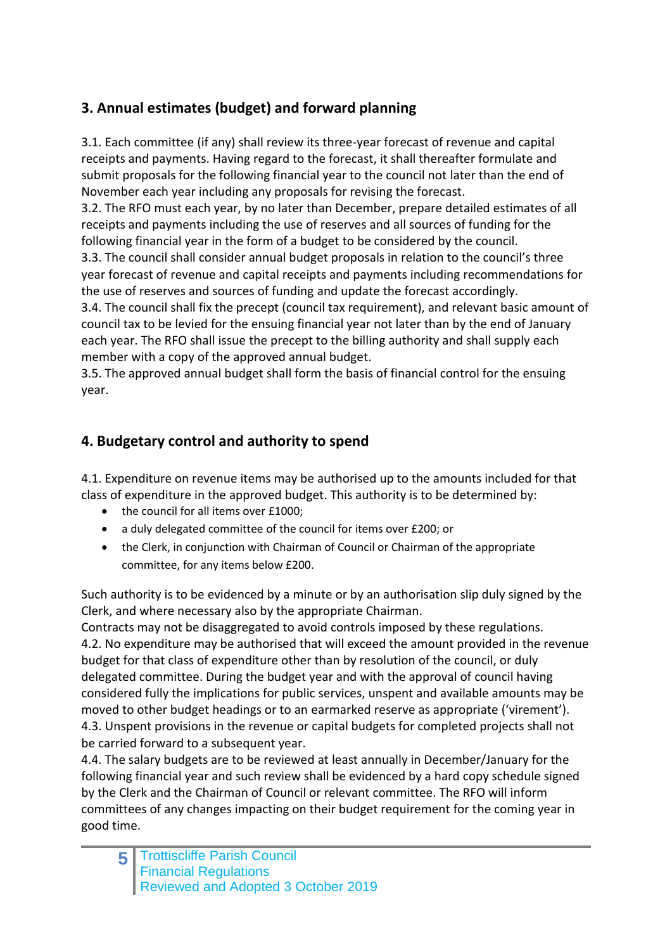# **3. Annual estimates (budget) and forward planning**

3.1. Each committee (if any) shall review its three-year forecast of revenue and capital receipts and payments. Having regard to the forecast, it shall thereafter formulate and submit proposals for the following financial year to the council not later than the end of November each year including any proposals for revising the forecast.

3.2. The RFO must each year, by no later than December, prepare detailed estimates of all receipts and payments including the use of reserves and all sources of funding for the following financial year in the form of a budget to be considered by the council.

3.3. The council shall consider annual budget proposals in relation to the council's three year forecast of revenue and capital receipts and payments including recommendations for the use of reserves and sources of funding and update the forecast accordingly.

3.4. The council shall fix the precept (council tax requirement), and relevant basic amount of council tax to be levied for the ensuing financial year not later than by the end of January each year. The RFO shall issue the precept to the billing authority and shall supply each member with a copy of the approved annual budget.

3.5. The approved annual budget shall form the basis of financial control for the ensuing year.

## **4. Budgetary control and authority to spend**

4.1. Expenditure on revenue items may be authorised up to the amounts included for that class of expenditure in the approved budget. This authority is to be determined by:

- the council for all items over £1000;
- a duly delegated committee of the council for items over £200; or
- the Clerk, in conjunction with Chairman of Council or Chairman of the appropriate committee, for any items below £200.

Such authority is to be evidenced by a minute or by an authorisation slip duly signed by the Clerk, and where necessary also by the appropriate Chairman.

Contracts may not be disaggregated to avoid controls imposed by these regulations. 4.2. No expenditure may be authorised that will exceed the amount provided in the revenue budget for that class of expenditure other than by resolution of the council, or duly delegated committee. During the budget year and with the approval of council having considered fully the implications for public services, unspent and available amounts may be moved to other budget headings or to an earmarked reserve as appropriate ('virement'). 4.3. Unspent provisions in the revenue or capital budgets for completed projects shall not be carried forward to a subsequent year.

4.4. The salary budgets are to be reviewed at least annually in December/January for the following financial year and such review shall be evidenced by a hard copy schedule signed by the Clerk and the Chairman of Council or relevant committee. The RFO will inform committees of any changes impacting on their budget requirement for the coming year in good time.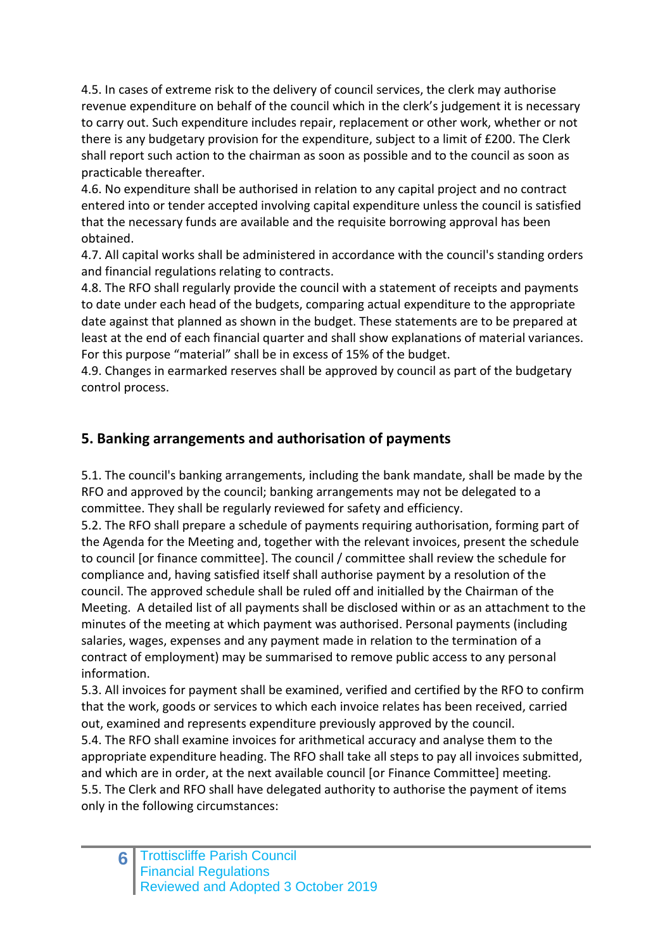4.5. In cases of extreme risk to the delivery of council services, the clerk may authorise revenue expenditure on behalf of the council which in the clerk's judgement it is necessary to carry out. Such expenditure includes repair, replacement or other work, whether or not there is any budgetary provision for the expenditure, subject to a limit of £200. The Clerk shall report such action to the chairman as soon as possible and to the council as soon as practicable thereafter.

4.6. No expenditure shall be authorised in relation to any capital project and no contract entered into or tender accepted involving capital expenditure unless the council is satisfied that the necessary funds are available and the requisite borrowing approval has been obtained.

4.7. All capital works shall be administered in accordance with the council's standing orders and financial regulations relating to contracts.

4.8. The RFO shall regularly provide the council with a statement of receipts and payments to date under each head of the budgets, comparing actual expenditure to the appropriate date against that planned as shown in the budget. These statements are to be prepared at least at the end of each financial quarter and shall show explanations of material variances. For this purpose "material" shall be in excess of 15% of the budget.

4.9. Changes in earmarked reserves shall be approved by council as part of the budgetary control process.

## **5. Banking arrangements and authorisation of payments**

5.1. The council's banking arrangements, including the bank mandate, shall be made by the RFO and approved by the council; banking arrangements may not be delegated to a committee. They shall be regularly reviewed for safety and efficiency.

5.2. The RFO shall prepare a schedule of payments requiring authorisation, forming part of the Agenda for the Meeting and, together with the relevant invoices, present the schedule to council [or finance committee]. The council / committee shall review the schedule for compliance and, having satisfied itself shall authorise payment by a resolution of the council. The approved schedule shall be ruled off and initialled by the Chairman of the Meeting. A detailed list of all payments shall be disclosed within or as an attachment to the minutes of the meeting at which payment was authorised. Personal payments (including salaries, wages, expenses and any payment made in relation to the termination of a contract of employment) may be summarised to remove public access to any personal information.

5.3. All invoices for payment shall be examined, verified and certified by the RFO to confirm that the work, goods or services to which each invoice relates has been received, carried out, examined and represents expenditure previously approved by the council.

5.4. The RFO shall examine invoices for arithmetical accuracy and analyse them to the appropriate expenditure heading. The RFO shall take all steps to pay all invoices submitted, and which are in order, at the next available council [or Finance Committee] meeting. 5.5. The Clerk and RFO shall have delegated authority to authorise the payment of items only in the following circumstances: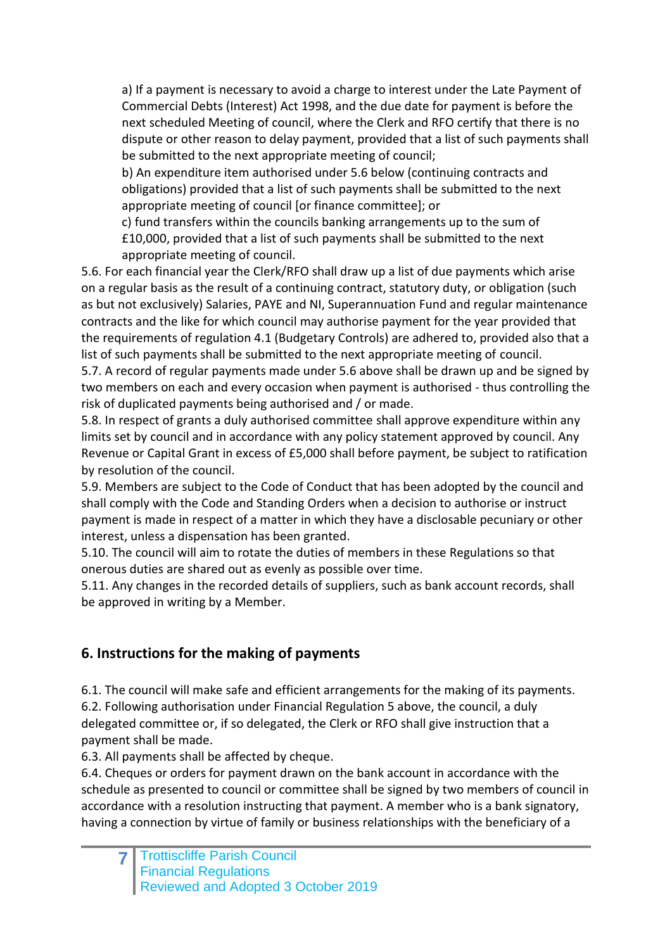a) If a payment is necessary to avoid a charge to interest under the Late Payment of Commercial Debts (Interest) Act 1998, and the due date for payment is before the next scheduled Meeting of council, where the Clerk and RFO certify that there is no dispute or other reason to delay payment, provided that a list of such payments shall be submitted to the next appropriate meeting of council;

b) An expenditure item authorised under 5.6 below (continuing contracts and obligations) provided that a list of such payments shall be submitted to the next appropriate meeting of council [or finance committee]; or

c) fund transfers within the councils banking arrangements up to the sum of £10,000, provided that a list of such payments shall be submitted to the next appropriate meeting of council.

5.6. For each financial year the Clerk/RFO shall draw up a list of due payments which arise on a regular basis as the result of a continuing contract, statutory duty, or obligation (such as but not exclusively) Salaries, PAYE and NI, Superannuation Fund and regular maintenance contracts and the like for which council may authorise payment for the year provided that the requirements of regulation 4.1 (Budgetary Controls) are adhered to, provided also that a list of such payments shall be submitted to the next appropriate meeting of council.

5.7. A record of regular payments made under 5.6 above shall be drawn up and be signed by two members on each and every occasion when payment is authorised - thus controlling the risk of duplicated payments being authorised and / or made.

5.8. In respect of grants a duly authorised committee shall approve expenditure within any limits set by council and in accordance with any policy statement approved by council. Any Revenue or Capital Grant in excess of £5,000 shall before payment, be subject to ratification by resolution of the council.

5.9. Members are subject to the Code of Conduct that has been adopted by the council and shall comply with the Code and Standing Orders when a decision to authorise or instruct payment is made in respect of a matter in which they have a disclosable pecuniary or other interest, unless a dispensation has been granted.

5.10. The council will aim to rotate the duties of members in these Regulations so that onerous duties are shared out as evenly as possible over time.

5.11. Any changes in the recorded details of suppliers, such as bank account records, shall be approved in writing by a Member.

## **6. Instructions for the making of payments**

6.1. The council will make safe and efficient arrangements for the making of its payments. 6.2. Following authorisation under Financial Regulation 5 above, the council, a duly delegated committee or, if so delegated, the Clerk or RFO shall give instruction that a payment shall be made.

6.3. All payments shall be affected by cheque.

6.4. Cheques or orders for payment drawn on the bank account in accordance with the schedule as presented to council or committee shall be signed by two members of council in accordance with a resolution instructing that payment. A member who is a bank signatory, having a connection by virtue of family or business relationships with the beneficiary of a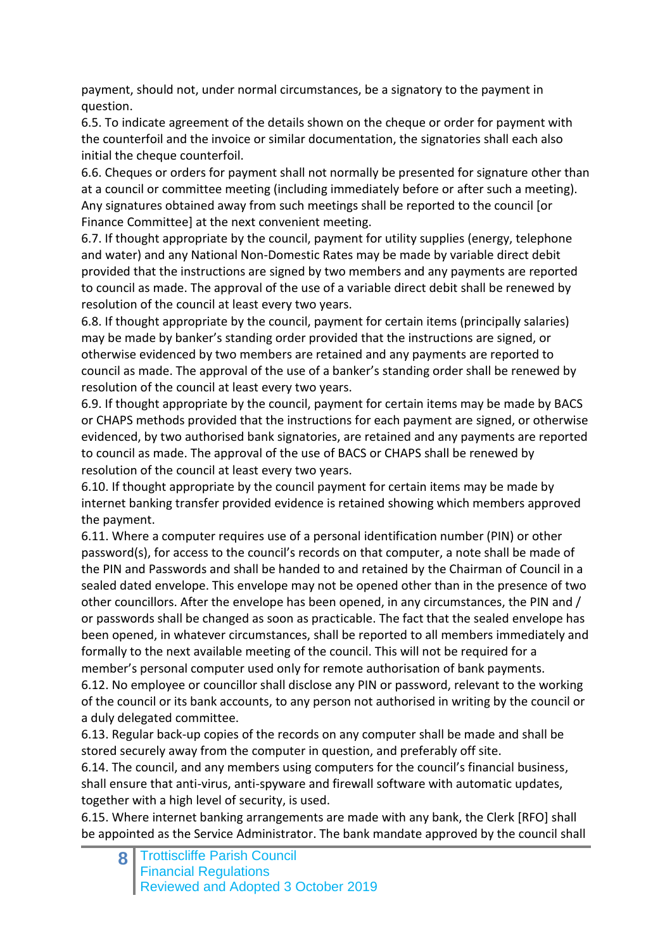payment, should not, under normal circumstances, be a signatory to the payment in question.

6.5. To indicate agreement of the details shown on the cheque or order for payment with the counterfoil and the invoice or similar documentation, the signatories shall each also initial the cheque counterfoil.

6.6. Cheques or orders for payment shall not normally be presented for signature other than at a council or committee meeting (including immediately before or after such a meeting). Any signatures obtained away from such meetings shall be reported to the council [or Finance Committee] at the next convenient meeting.

6.7. If thought appropriate by the council, payment for utility supplies (energy, telephone and water) and any National Non-Domestic Rates may be made by variable direct debit provided that the instructions are signed by two members and any payments are reported to council as made. The approval of the use of a variable direct debit shall be renewed by resolution of the council at least every two years.

6.8. If thought appropriate by the council, payment for certain items (principally salaries) may be made by banker's standing order provided that the instructions are signed, or otherwise evidenced by two members are retained and any payments are reported to council as made. The approval of the use of a banker's standing order shall be renewed by resolution of the council at least every two years.

6.9. If thought appropriate by the council, payment for certain items may be made by BACS or CHAPS methods provided that the instructions for each payment are signed, or otherwise evidenced, by two authorised bank signatories, are retained and any payments are reported to council as made. The approval of the use of BACS or CHAPS shall be renewed by resolution of the council at least every two years.

6.10. If thought appropriate by the council payment for certain items may be made by internet banking transfer provided evidence is retained showing which members approved the payment.

6.11. Where a computer requires use of a personal identification number (PIN) or other password(s), for access to the council's records on that computer, a note shall be made of the PIN and Passwords and shall be handed to and retained by the Chairman of Council in a sealed dated envelope. This envelope may not be opened other than in the presence of two other councillors. After the envelope has been opened, in any circumstances, the PIN and / or passwords shall be changed as soon as practicable. The fact that the sealed envelope has been opened, in whatever circumstances, shall be reported to all members immediately and formally to the next available meeting of the council. This will not be required for a member's personal computer used only for remote authorisation of bank payments. 6.12. No employee or councillor shall disclose any PIN or password, relevant to the working of the council or its bank accounts, to any person not authorised in writing by the council or

a duly delegated committee. 6.13. Regular back-up copies of the records on any computer shall be made and shall be

stored securely away from the computer in question, and preferably off site. 6.14. The council, and any members using computers for the council's financial business, shall ensure that anti-virus, anti-spyware and firewall software with automatic updates, together with a high level of security, is used.

6.15. Where internet banking arrangements are made with any bank, the Clerk [RFO] shall be appointed as the Service Administrator. The bank mandate approved by the council shall

**8** Trottiscliffe Parish Council Financial Regulations Reviewed and Adopted 3 October 2019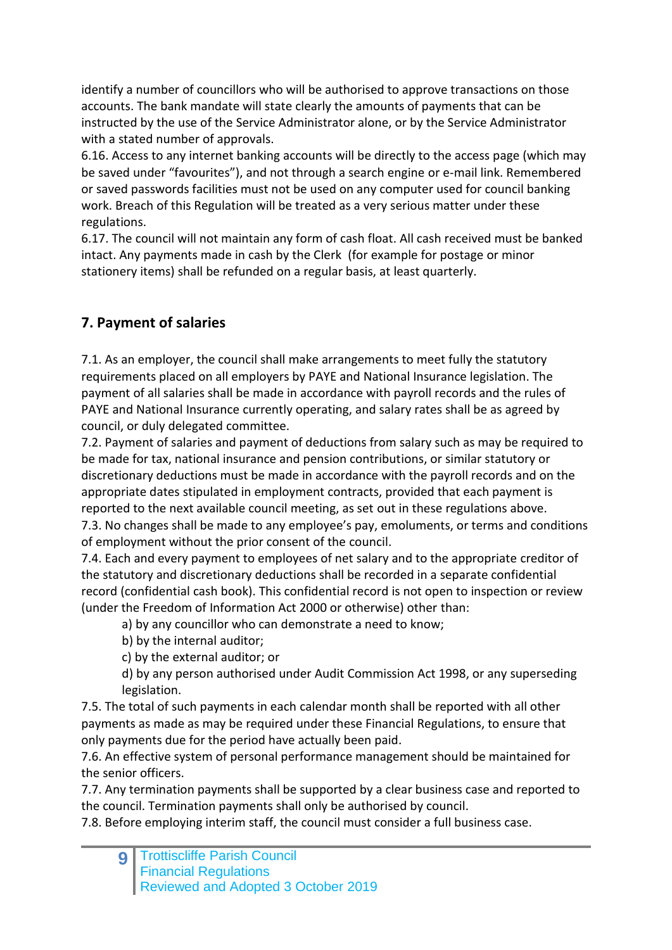identify a number of councillors who will be authorised to approve transactions on those accounts. The bank mandate will state clearly the amounts of payments that can be instructed by the use of the Service Administrator alone, or by the Service Administrator with a stated number of approvals.

6.16. Access to any internet banking accounts will be directly to the access page (which may be saved under "favourites"), and not through a search engine or e-mail link. Remembered or saved passwords facilities must not be used on any computer used for council banking work. Breach of this Regulation will be treated as a very serious matter under these regulations.

6.17. The council will not maintain any form of cash float. All cash received must be banked intact. Any payments made in cash by the Clerk (for example for postage or minor stationery items) shall be refunded on a regular basis, at least quarterly.

## **7. Payment of salaries**

7.1. As an employer, the council shall make arrangements to meet fully the statutory requirements placed on all employers by PAYE and National Insurance legislation. The payment of all salaries shall be made in accordance with payroll records and the rules of PAYE and National Insurance currently operating, and salary rates shall be as agreed by council, or duly delegated committee.

7.2. Payment of salaries and payment of deductions from salary such as may be required to be made for tax, national insurance and pension contributions, or similar statutory or discretionary deductions must be made in accordance with the payroll records and on the appropriate dates stipulated in employment contracts, provided that each payment is reported to the next available council meeting, as set out in these regulations above.

7.3. No changes shall be made to any employee's pay, emoluments, or terms and conditions of employment without the prior consent of the council.

7.4. Each and every payment to employees of net salary and to the appropriate creditor of the statutory and discretionary deductions shall be recorded in a separate confidential record (confidential cash book). This confidential record is not open to inspection or review (under the Freedom of Information Act 2000 or otherwise) other than:

a) by any councillor who can demonstrate a need to know;

b) by the internal auditor;

c) by the external auditor; or

d) by any person authorised under Audit Commission Act 1998, or any superseding legislation.

7.5. The total of such payments in each calendar month shall be reported with all other payments as made as may be required under these Financial Regulations, to ensure that only payments due for the period have actually been paid.

7.6. An effective system of personal performance management should be maintained for the senior officers.

7.7. Any termination payments shall be supported by a clear business case and reported to the council. Termination payments shall only be authorised by council.

7.8. Before employing interim staff, the council must consider a full business case.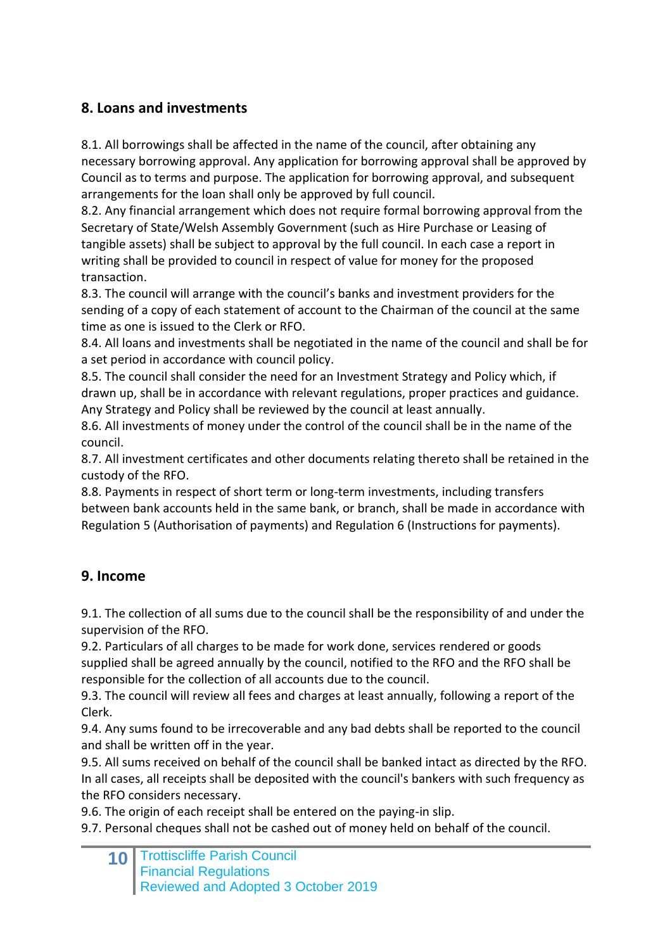## **8. Loans and investments**

8.1. All borrowings shall be affected in the name of the council, after obtaining any necessary borrowing approval. Any application for borrowing approval shall be approved by Council as to terms and purpose. The application for borrowing approval, and subsequent arrangements for the loan shall only be approved by full council.

8.2. Any financial arrangement which does not require formal borrowing approval from the Secretary of State/Welsh Assembly Government (such as Hire Purchase or Leasing of tangible assets) shall be subject to approval by the full council. In each case a report in writing shall be provided to council in respect of value for money for the proposed transaction.

8.3. The council will arrange with the council's banks and investment providers for the sending of a copy of each statement of account to the Chairman of the council at the same time as one is issued to the Clerk or RFO.

8.4. All loans and investments shall be negotiated in the name of the council and shall be for a set period in accordance with council policy.

8.5. The council shall consider the need for an Investment Strategy and Policy which, if drawn up, shall be in accordance with relevant regulations, proper practices and guidance. Any Strategy and Policy shall be reviewed by the council at least annually.

8.6. All investments of money under the control of the council shall be in the name of the council.

8.7. All investment certificates and other documents relating thereto shall be retained in the custody of the RFO.

8.8. Payments in respect of short term or long-term investments, including transfers between bank accounts held in the same bank, or branch, shall be made in accordance with Regulation 5 (Authorisation of payments) and Regulation 6 (Instructions for payments).

## **9. Income**

9.1. The collection of all sums due to the council shall be the responsibility of and under the supervision of the RFO.

9.2. Particulars of all charges to be made for work done, services rendered or goods supplied shall be agreed annually by the council, notified to the RFO and the RFO shall be responsible for the collection of all accounts due to the council.

9.3. The council will review all fees and charges at least annually, following a report of the Clerk.

9.4. Any sums found to be irrecoverable and any bad debts shall be reported to the council and shall be written off in the year.

9.5. All sums received on behalf of the council shall be banked intact as directed by the RFO. In all cases, all receipts shall be deposited with the council's bankers with such frequency as the RFO considers necessary.

9.6. The origin of each receipt shall be entered on the paying-in slip.

9.7. Personal cheques shall not be cashed out of money held on behalf of the council.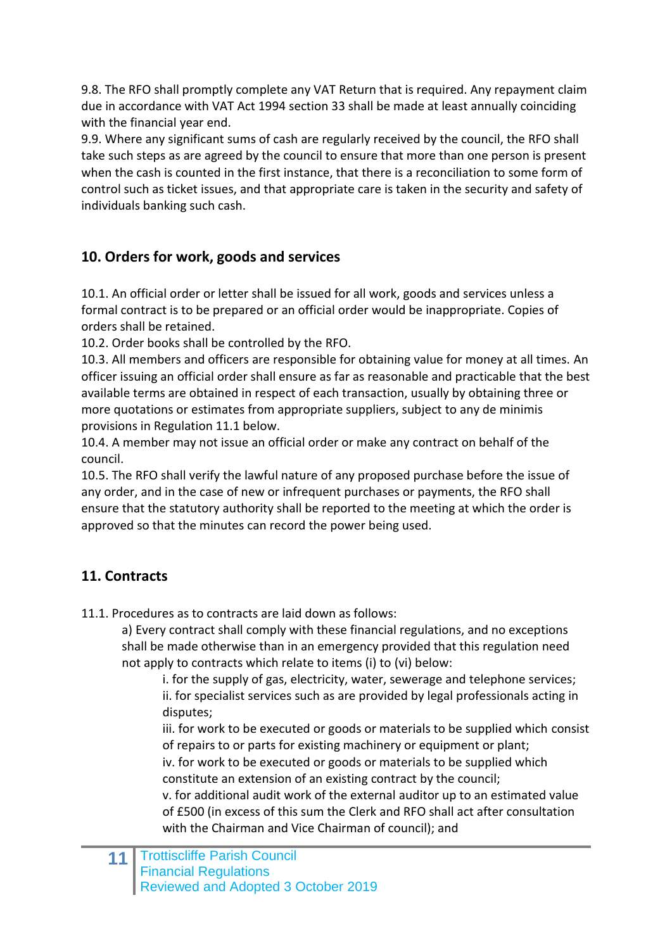9.8. The RFO shall promptly complete any VAT Return that is required. Any repayment claim due in accordance with VAT Act 1994 section 33 shall be made at least annually coinciding with the financial year end.

9.9. Where any significant sums of cash are regularly received by the council, the RFO shall take such steps as are agreed by the council to ensure that more than one person is present when the cash is counted in the first instance, that there is a reconciliation to some form of control such as ticket issues, and that appropriate care is taken in the security and safety of individuals banking such cash.

#### **10. Orders for work, goods and services**

10.1. An official order or letter shall be issued for all work, goods and services unless a formal contract is to be prepared or an official order would be inappropriate. Copies of orders shall be retained.

10.2. Order books shall be controlled by the RFO.

10.3. All members and officers are responsible for obtaining value for money at all times. An officer issuing an official order shall ensure as far as reasonable and practicable that the best available terms are obtained in respect of each transaction, usually by obtaining three or more quotations or estimates from appropriate suppliers, subject to any de minimis provisions in Regulation 11.1 below.

10.4. A member may not issue an official order or make any contract on behalf of the council.

10.5. The RFO shall verify the lawful nature of any proposed purchase before the issue of any order, and in the case of new or infrequent purchases or payments, the RFO shall ensure that the statutory authority shall be reported to the meeting at which the order is approved so that the minutes can record the power being used.

## **11. Contracts**

11.1. Procedures as to contracts are laid down as follows:

a) Every contract shall comply with these financial regulations, and no exceptions shall be made otherwise than in an emergency provided that this regulation need not apply to contracts which relate to items (i) to (vi) below:

i. for the supply of gas, electricity, water, sewerage and telephone services; ii. for specialist services such as are provided by legal professionals acting in disputes;

iii. for work to be executed or goods or materials to be supplied which consist of repairs to or parts for existing machinery or equipment or plant;

iv. for work to be executed or goods or materials to be supplied which constitute an extension of an existing contract by the council;

v. for additional audit work of the external auditor up to an estimated value of £500 (in excess of this sum the Clerk and RFO shall act after consultation with the Chairman and Vice Chairman of council); and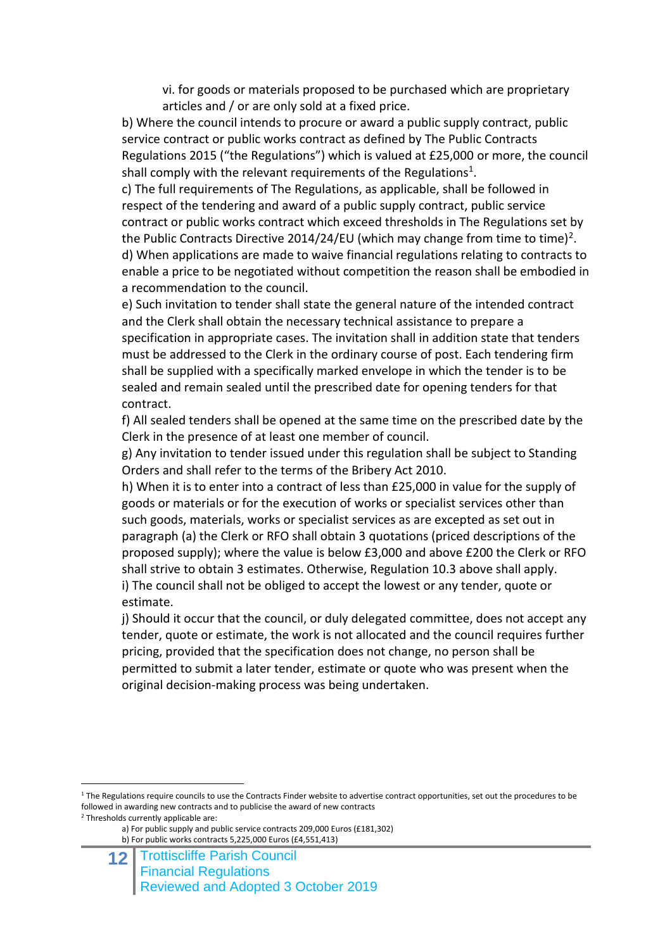vi. for goods or materials proposed to be purchased which are proprietary articles and / or are only sold at a fixed price.

b) Where the council intends to procure or award a public supply contract, public service contract or public works contract as defined by The Public Contracts Regulations 2015 ("the Regulations") which is valued at £25,000 or more, the council shall comply with the relevant requirements of the Regulations<sup>1</sup>.

c) The full requirements of The Regulations, as applicable, shall be followed in respect of the tendering and award of a public supply contract, public service contract or public works contract which exceed thresholds in The Regulations set by the Public Contracts Directive 2014/24/EU (which may change from time to time)<sup>2</sup>. d) When applications are made to waive financial regulations relating to contracts to enable a price to be negotiated without competition the reason shall be embodied in a recommendation to the council.

e) Such invitation to tender shall state the general nature of the intended contract and the Clerk shall obtain the necessary technical assistance to prepare a specification in appropriate cases. The invitation shall in addition state that tenders must be addressed to the Clerk in the ordinary course of post. Each tendering firm shall be supplied with a specifically marked envelope in which the tender is to be sealed and remain sealed until the prescribed date for opening tenders for that contract.

f) All sealed tenders shall be opened at the same time on the prescribed date by the Clerk in the presence of at least one member of council.

g) Any invitation to tender issued under this regulation shall be subject to Standing Orders and shall refer to the terms of the Bribery Act 2010.

h) When it is to enter into a contract of less than £25,000 in value for the supply of goods or materials or for the execution of works or specialist services other than such goods, materials, works or specialist services as are excepted as set out in paragraph (a) the Clerk or RFO shall obtain 3 quotations (priced descriptions of the proposed supply); where the value is below £3,000 and above £200 the Clerk or RFO shall strive to obtain 3 estimates. Otherwise, Regulation 10.3 above shall apply. i) The council shall not be obliged to accept the lowest or any tender, quote or estimate.

j) Should it occur that the council, or duly delegated committee, does not accept any tender, quote or estimate, the work is not allocated and the council requires further pricing, provided that the specification does not change, no person shall be permitted to submit a later tender, estimate or quote who was present when the original decision-making process was being undertaken.

<sup>1</sup> The Regulations require councils to use the Contracts Finder website to advertise contract opportunities, set out the procedures to be followed in awarding new contracts and to publicise the award of new contracts

<sup>2</sup> Thresholds currently applicable are:

1

a) For public supply and public service contracts 209,000 Euros (£181,302) b) For public works contracts 5,225,000 Euros (£4,551,413)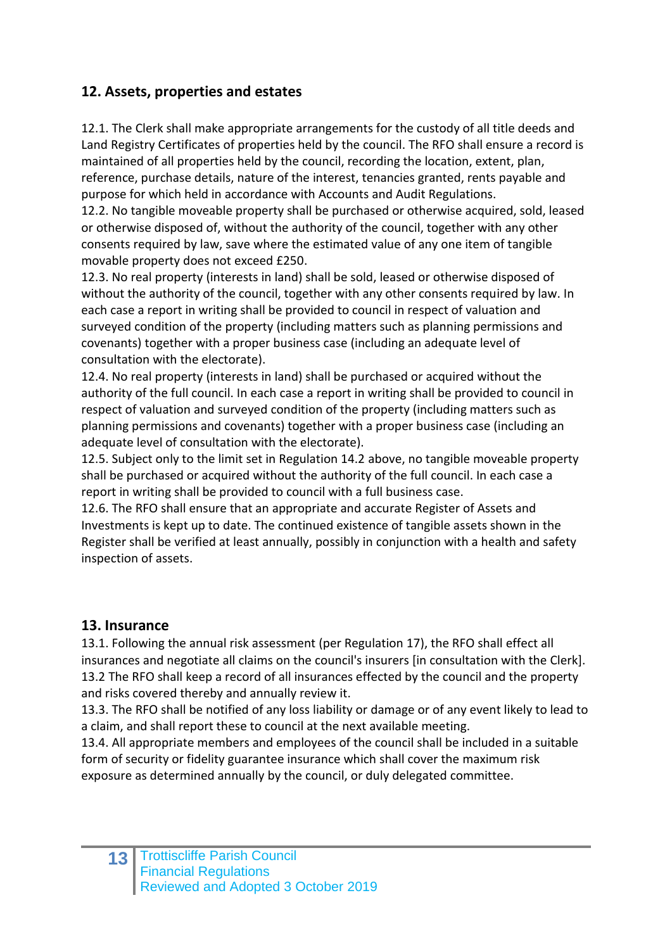#### **12. Assets, properties and estates**

12.1. The Clerk shall make appropriate arrangements for the custody of all title deeds and Land Registry Certificates of properties held by the council. The RFO shall ensure a record is maintained of all properties held by the council, recording the location, extent, plan, reference, purchase details, nature of the interest, tenancies granted, rents payable and purpose for which held in accordance with Accounts and Audit Regulations.

12.2. No tangible moveable property shall be purchased or otherwise acquired, sold, leased or otherwise disposed of, without the authority of the council, together with any other consents required by law, save where the estimated value of any one item of tangible movable property does not exceed £250.

12.3. No real property (interests in land) shall be sold, leased or otherwise disposed of without the authority of the council, together with any other consents required by law. In each case a report in writing shall be provided to council in respect of valuation and surveyed condition of the property (including matters such as planning permissions and covenants) together with a proper business case (including an adequate level of consultation with the electorate).

12.4. No real property (interests in land) shall be purchased or acquired without the authority of the full council. In each case a report in writing shall be provided to council in respect of valuation and surveyed condition of the property (including matters such as planning permissions and covenants) together with a proper business case (including an adequate level of consultation with the electorate).

12.5. Subject only to the limit set in Regulation 14.2 above, no tangible moveable property shall be purchased or acquired without the authority of the full council. In each case a report in writing shall be provided to council with a full business case.

12.6. The RFO shall ensure that an appropriate and accurate Register of Assets and Investments is kept up to date. The continued existence of tangible assets shown in the Register shall be verified at least annually, possibly in conjunction with a health and safety inspection of assets.

#### **13. Insurance**

13.1. Following the annual risk assessment (per Regulation 17), the RFO shall effect all insurances and negotiate all claims on the council's insurers [in consultation with the Clerk]. 13.2 The RFO shall keep a record of all insurances effected by the council and the property and risks covered thereby and annually review it.

13.3. The RFO shall be notified of any loss liability or damage or of any event likely to lead to a claim, and shall report these to council at the next available meeting.

13.4. All appropriate members and employees of the council shall be included in a suitable form of security or fidelity guarantee insurance which shall cover the maximum risk exposure as determined annually by the council, or duly delegated committee.